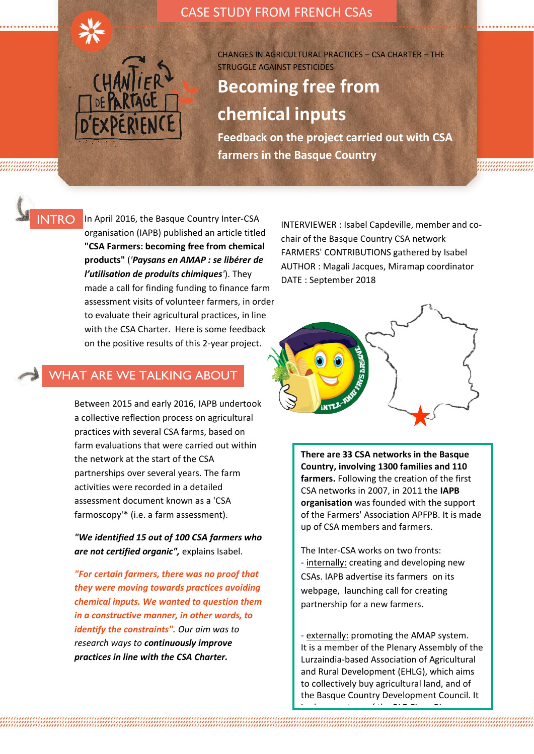

CASE STUDY FROM FRENCH CSAs

CHANGES IN AGRICULTURAL PRACTICES – CSA CHARTER – THE STRUGGLE AGAINST PESTICIDES

# **Becoming free from chemical inputs**

**Feedback on the project carried out with CSA farmers in the Basque Country**

### INTRO

In April 2016, the Basque Country Inter-CSA organisation (IAPB) published an article titled **"CSA Farmers: becoming free from chemical products"** (*'Paysans en AMAP : se libérer de l'utilisation de produits chimiques'*). They made a call for finding funding to finance farm assessment visits of volunteer farmers, in order to evaluate their agricultural practices, in line with the CSA Charter. Here is some feedback on the positive results of this 2-year project.

### WHAT ARE WE TALKING ABOUT

Between 2015 and early 2016, IAPB undertook a collective reflection process on agricultural practices with several CSA farms, based on farm evaluations that were carried out within the network at the start of the CSA partnerships over several years. The farm activities were recorded in a detailed assessment document known as a 'CSA farmoscopy'\* (i.e. a farm assessment).

*"We identified 15 out of 100 CSA farmers who are not certified organic",* explains Isabel.

*"For certain farmers, there was no proof that they were moving towards practices avoiding chemical inputs. We wanted to question them in a constructive manner, in other words, to identify the constraints". Our aim was to research ways to continuously improve practices in line with the CSA Charter.* 

INTERVIEWER : Isabel Capdeville, member and cochair of the Basque Country CSA network FARMERS' CONTRIBUTIONS gathered by Isabel AUTHOR : Magali Jacques, Miramap coordinator DATE : September 2018



**There are 33 CSA networks in the Basque Country, involving 1300 families and 110 farmers.** Following the creation of the first CSA networks in 2007, in 2011 the **IAPB organisation** was founded with the support of the Farmers' Association APFPB. It is made up of CSA members and farmers.

The Inter-CSA works on two fronts: - internally: creating and developing new CSAs. IAPB advertise its farmers on its webpage, launching call for creating partnership for a new farmers.

- externally: promoting the AMAP system. It is a member of the Plenary Assembly of the Lurzaindia-based Association of Agricultural and Rural Development (EHLG), which aims to collectively buy agricultural land, and of the Basque Country Development Council. It

association (Biharko Lurraren Burgunda, Ble).<br>Bleithean

is also a partner of the BLE Civan Bio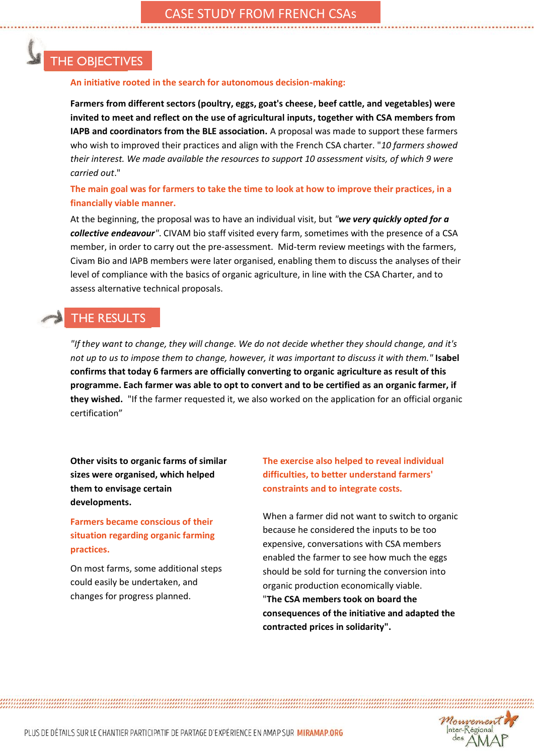## THE OBJECTIVES

#### **An initiative rooted in the search for autonomous decision-making:**

**Farmers from different sectors (poultry, eggs, goat's cheese, beef cattle, and vegetables) were invited to meet and reflect on the use of agricultural inputs, together with CSA members from IAPB and coordinators from the BLE association.** A proposal was made to support these farmers who wish to improved their practices and align with the French CSA charter. "*10 farmers showed their interest. We made available the resources to support 10 assessment visits, of which 9 were carried out*."

#### **The main goal was for farmers to take the time to look at how to improve their practices, in a financially viable manner.**

At the beginning, the proposal was to have an individual visit, but *"we very quickly opted for a collective endeavour"*. CIVAM bio staff visited every farm, sometimes with the presence of a CSA member, in order to carry out the pre-assessment. Mid-term review meetings with the farmers, Civam Bio and IAPB members were later organised, enabling them to discuss the analyses of their level of compliance with the basics of organic agriculture, in line with the CSA Charter, and to assess alternative technical proposals.

## THE RESULTS

*"If they want to change, they will change. We do not decide whether they should change, and it's not up to us to impose them to change, however, it was important to discuss it with them."* **Isabel confirms that today 6 farmers are officially converting to organic agriculture as result of this programme. Each farmer was able to opt to convert and to be certified as an organic farmer, if they wished.** "If the farmer requested it, we also worked on the application for an official organic certification"

**Other visits to organic farms of similar sizes were organised, which helped them to envisage certain developments.**

**Farmers became conscious of their situation regarding organic farming practices.**

On most farms, some additional steps could easily be undertaken, and changes for progress planned.

**The exercise also helped to reveal individual difficulties, to better understand farmers' constraints and to integrate costs.** 

When a farmer did not want to switch to organic because he considered the inputs to be too expensive, conversations with CSA members enabled the farmer to see how much the eggs should be sold for turning the conversion into organic production economically viable. "**The CSA members took on board the consequences of the initiative and adapted the contracted prices in solidarity".** 

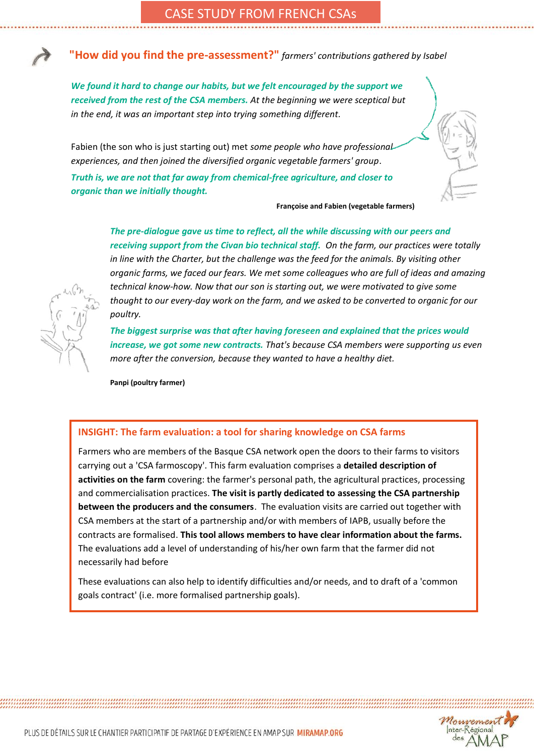**"How did you find the pre-assessment?"** *farmers' contributions gathered by Isabel*

*We found it hard to change our habits, but we felt encouraged by the support we received from the rest of the CSA members. At the beginning we were sceptical but in the end, it was an important step into trying something different.*

Fabien (the son who is just starting out) met *some people who have professional experiences, and then joined the diversified organic vegetable farmers' group*.

*Truth is, we are not that far away from chemical-free agriculture, and closer to organic than we initially thought.* 

**Françoise and Fabien (vegetable farmers)** 

*The pre-dialogue gave us time to reflect, all the while discussing with our peers and receiving support from the Civan bio technical staff. On the farm, our practices were totally in line with the Charter, but the challenge was the feed for the animals. By visiting other organic farms, we faced our fears. We met some colleagues who are full of ideas and amazing technical know-how. Now that our son is starting out, we were motivated to give some thought to our every-day work on the farm, and we asked to be converted to organic for our poultry.* 

*The biggest surprise was that after having foreseen and explained that the prices would increase, we got some new contracts. That's because CSA members were supporting us even more after the conversion, because they wanted to have a healthy diet.* 

**Panpi (poultry farmer)** 

#### **INSIGHT: The farm evaluation: a tool for sharing knowledge on CSA farms**

Farmers who are members of the Basque CSA network open the doors to their farms to visitors carrying out a 'CSA farmoscopy'. This farm evaluation comprises a **detailed description of activities on the farm** covering: the farmer's personal path, the agricultural practices, processing and commercialisation practices. **The visit is partly dedicated to assessing the CSA partnership between the producers and the consumers**. The evaluation visits are carried out together with CSA members at the start of a partnership and/or with members of IAPB, usually before the contracts are formalised. **This tool allows members to have clear information about the farms.**  The evaluations add a level of understanding of his/her own farm that the farmer did not necessarily had before

These evaluations can also help to identify difficulties and/or needs, and to draft of a 'common goals contract' (i.e. more formalised partnership goals).